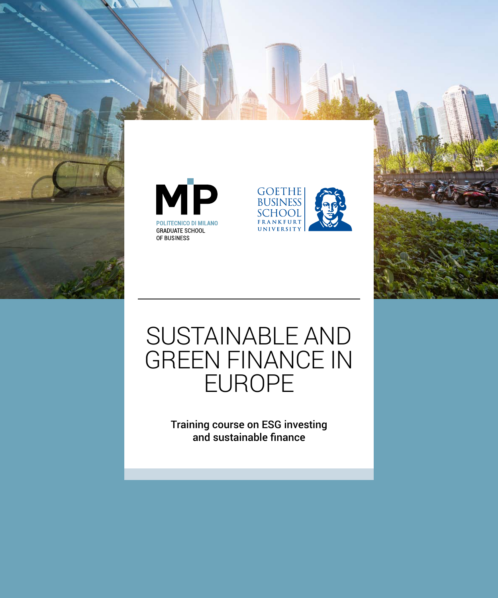







Training course on ESG investing and sustainable finance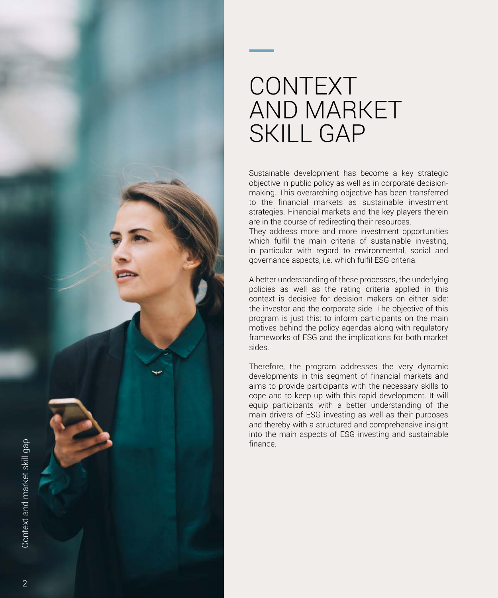

# CONTEXT AND MARKET SKILL GAP

Sustainable development has become a key strategic objective in public policy as well as in corporate decisionmaking. This overarching objective has been transferred to the financial markets as sustainable investment strategies. Financial markets and the key players therein are in the course of redirecting their resources.

They address more and more investment opportunities which fulfil the main criteria of sustainable investing, in particular with regard to environmental, social and governance aspects, i.e. which fulfil ESG criteria.

A better understanding of these processes, the underlying policies as well as the rating criteria applied in this context is decisive for decision makers on either side: the investor and the corporate side. The objective of this program is just this: to inform participants on the main motives behind the policy agendas along with regulatory frameworks of ESG and the implications for both market sides.

Therefore, the program addresses the very dynamic developments in this segment of financial markets and aims to provide participants with the necessary skills to cope and to keep up with this rapid development. It will equip participants with a better understanding of the main drivers of ESG investing as well as their purposes and thereby with a structured and comprehensive insight into the main aspects of ESG investing and sustainable finance.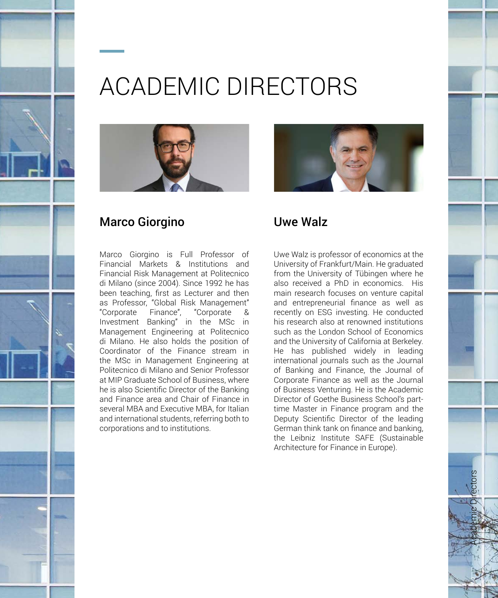

# ACADEMIC DIRECTORS



# Marco Giorgino

Marco Giorgino is Full Professor of Financial Markets & Institutions and Financial Risk Management at Politecnico di Milano (since 2004). Since 1992 he has been teaching, first as Lecturer and then as Professor, "Global Risk Management" "Corporate Finance", "Corporate Investment Banking" in the MSc in Management Engineering at Politecnico di Milano. He also holds the position of Coordinator of the Finance stream in the MSc in Management Engineering at Politecnico di Milano and Senior Professor at MIP Graduate School of Business, where he is also Scientific Director of the Banking and Finance area and Chair of Finance in several MBA and Executive MBA, for Italian and international students, referring both to corporations and to institutions.



# Uwe Walz

Uwe Walz is professor of economics at the University of Frankfurt/Main. He graduated from the University of Tübingen where he also received a PhD in economics. His main research focuses on venture capital and entrepreneurial finance as well as recently on ESG investing. He conducted his research also at renowned institutions such as the London School of Economics and the University of California at Berkeley. He has published widely in leading international journals such as the Journal of Banking and Finance, the Journal of Corporate Finance as well as the Journal of Business Venturing. He is the Academic Director of Goethe Business School's parttime Master in Finance program and the Deputy Scientific Director of the leading German think tank on finance and banking, the Leibniz Institute SAFE (Sustainable Architecture for Finance in Europe).

Academic Directors

3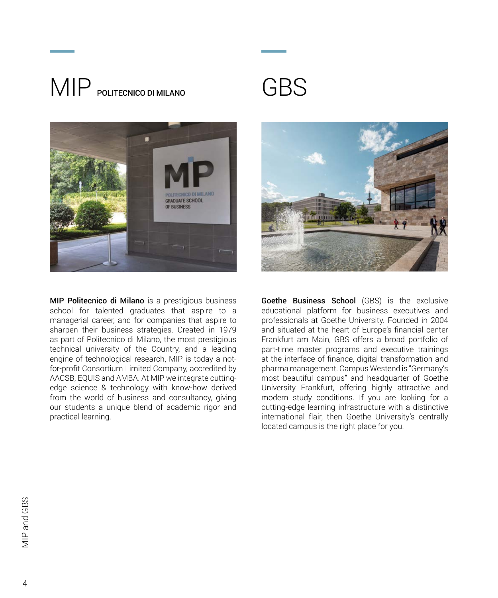# MIP POLITECNICO DI MILANO





MIP Politecnico di Milano is a prestigious business school for talented graduates that aspire to a managerial career, and for companies that aspire to sharpen their business strategies. Created in 1979 as part of Politecnico di Milano, the most prestigious technical university of the Country, and a leading engine of technological research, MIP is today a notfor-profit Consortium Limited Company, accredited by AACSB, EQUIS and AMBA. At MIP we integrate cuttingedge science & technology with know-how derived from the world of business and consultancy, giving our students a unique blend of academic rigor and practical learning.



Goethe Business School (GBS) is the exclusive educational platform for business executives and professionals at Goethe University. Founded in 2004 and situated at the heart of Europe's financial center Frankfurt am Main, GBS offers a broad portfolio of part-time master programs and executive trainings at the interface of finance, digital transformation and pharma management. Campus Westend is "Germany's most beautiful campus" and headquarter of Goethe University Frankfurt, offering highly attractive and modern study conditions. If you are looking for a cutting-edge learning infrastructure with a distinctive international flair, then Goethe University's centrally located campus is the right place for you.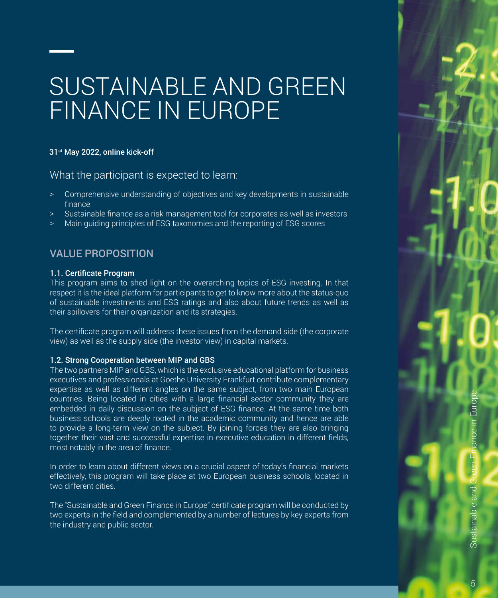# SUSTAINABLE AND GREEN FINANCE IN EUROPE

### 31st May 2022, online kick-off

What the participant is expected to learn:

- > Comprehensive understanding of objectives and key developments in sustainable finance
- Sustainable finance as a risk management tool for corporates as well as investors
- > Main guiding principles of ESG taxonomies and the reporting of ESG scores

# VALUE PROPOSITION

### 1.1. Certificate Program

This program aims to shed light on the overarching topics of ESG investing. In that respect it is the ideal platform for participants to get to know more about the status-quo of sustainable investments and ESG ratings and also about future trends as well as their spillovers for their organization and its strategies.

The certificate program will address these issues from the demand side (the corporate view) as well as the supply side (the investor view) in capital markets.

### 1.2. Strong Cooperation between MIP and GBS

The two partners MIP and GBS, which is the exclusive educational platform for business executives and professionals at Goethe University Frankfurt contribute complementary expertise as well as different angles on the same subject, from two main European countries. Being located in cities with a large financial sector community they are embedded in daily discussion on the subject of ESG finance. At the same time both business schools are deeply rooted in the academic community and hence are able to provide a long-term view on the subject. By joining forces they are also bringing together their vast and successful expertise in executive education in different fields, most notably in the area of finance.

In order to learn about different views on a crucial aspect of today's financial markets effectively, this program will take place at two European business schools, located in two different cities.

The "Sustainable and Green Finance in Europe" certificate program will be conducted by two experts in the field and complemented by a number of lectures by key experts from the industry and public sector.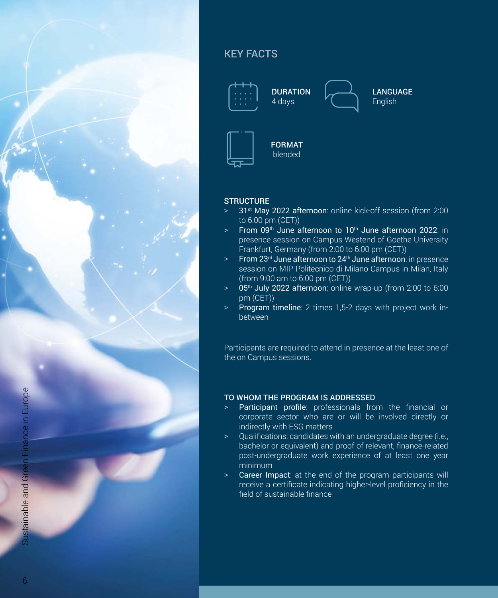

# KEY FACTS



### **STRUCTURE**

- 31<sup>st</sup> May 2022 afternoon: online kick-off session (from 2:00 to 6:00 pm (CET))
- $>$  From 09<sup>th</sup> June afternoon to 10<sup>th</sup> June afternoon 2022; in presence session on Campus Westend of Goethe University Frankfurt, Germany (from 2:00 to 6:00 pm (CET))
- $\text{P}$  From 23<sup>rd</sup> June afternoon to 24<sup>th</sup> June afternoon: in presence session on MIP Politecnico di Milano Campus in Milan, Italy (from 9:00 am to 6:00 pm (CET))
- $>$  05<sup>th</sup> July 2022 afternoon: online wrap-up (from 2:00 to 6:00 pm (CET))
- > Program timeline: 2 times 1,5-2 days with project work inbetween

Participants are required to attend in presence at the least one of the on Campus sessions.

## TO WHOM THE PROGRAM IS ADDRESSED

- > Participant profile: professionals from the financial or corporate sector who are or will be involved directly or indirectly with ESG matters
- > Qualifications: candidates with an undergraduate degree (i.e., bachelor or equivalent) and proof of relevant, finance-related post-undergraduate work experience of at least one year minimum
- > Career Impact: at the end of the program participants will receive a certificate indicating higher-level proficiency in the field of sustainable finance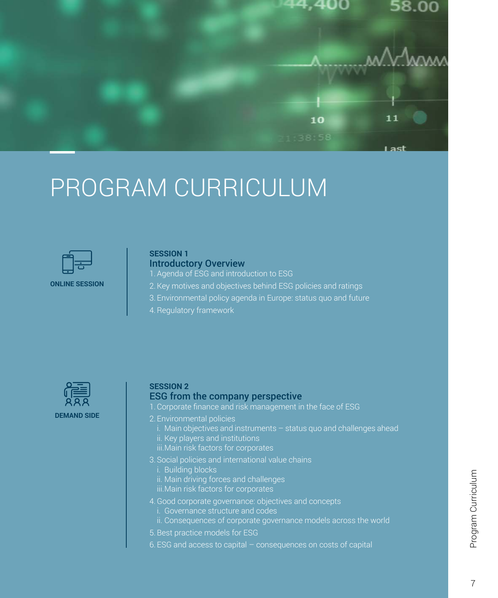

# PROGRAM CURRICULUM



#### **ONLINE SESSION**

### **SESSION 1**  Introductory Overview

- 1.Agenda of ESG and introduction to ESG
- 2.Key motives and objectives behind ESG policies and ratings
- 3. Environmental policy agenda in Europe: status quo and future
- 4.Regulatory framework



### **SESSION 2**

#### ESG from the company perspective

- 1.Corporate finance and risk management in the face of ESG
- 2. Environmental policies
	- i. Main objectives and instruments status quo and challenges ahead ii. Key players and institutions
	- iii.Main risk factors for corporates
- 3. Social policies and international value chains
	- i. Building blocks
	- ii. Main driving forces and challenges
	- iii.Main risk factors for corporates
- 4.Good corporate governance: objectives and concepts
	- i. Governance structure and codes
	- ii. Consequences of corporate governance models across the world
- 5.Best practice models for ESG
- 6. ESG and access to capital consequences on costs of capital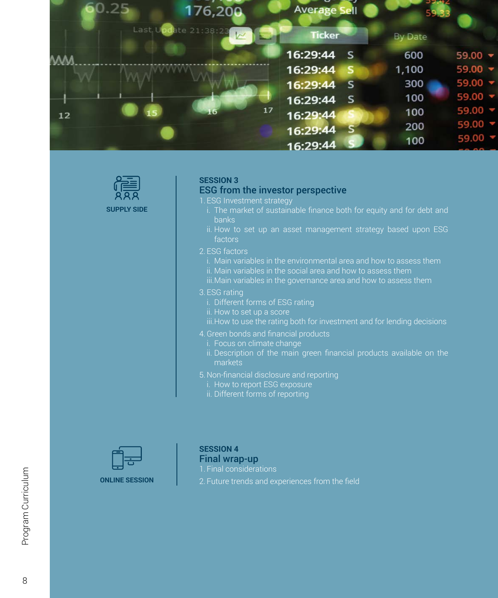



## **SESSION 3**

### ESG from the investor perspective

1. ESG Investment strategy

- i. The market of sustainable finance both for equity and for debt and banks
- ii. How to set up an asset management strategy based upon ESG **factors**
- 2. ESG factors
	- i. Main variables in the environmental area and how to assess them ii. Main variables in the social area and how to assess them
	- iii.Main variables in the governance area and how to assess them
- 3. ESG rating
	- i. Different forms of ESG rating
	- ii. How to set up a score
	-
- 4.Green bonds and financial products
	- i. Focus on climate change
	- ii. Description of the main green financial products available on the markets
- 5. Non-financial disclosure and reporting
	- i. How to report ESG exposure
	- ii. Different forms of reporting



## **SESSION 4**  Final wrap-up

1. Final considerations

2. Future trends and experiences from the field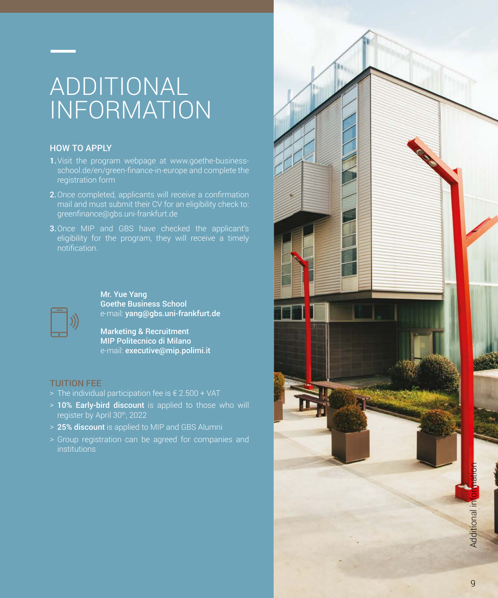# ADDITIONAL INFORMATION

## HOW TO APPLY

- **1.**Visit the program webpage at www.goethe-businessschool.de/en/green-finance-in-europe and complete the registration form
- 2.Once completed, applicants will receive a confirmation mail and must submit their CV for an eligibility check to: greenfinance@gbs.uni-frankfurt.de
- 3.Once MIP and GBS have checked the applicant's eligibility for the program, they will receive a timely notification.



Mr. Yue Yang Goethe Business School e-mail: yang@gbs.uni-frankfurt.de

Marketing & Recruitment MIP Politecnico di Milano e-mail: executive@mip.polimi.it

### TUITION FEE

- > The individual participation fee is  $\epsilon$  2.500 + VAT
- > 10% Early-bird discount is applied to those who will register by April 30th, 2022
- > 25% discount is applied to MIP and GBS Alumni
- > Group registration can be agreed for companies and **institutions**